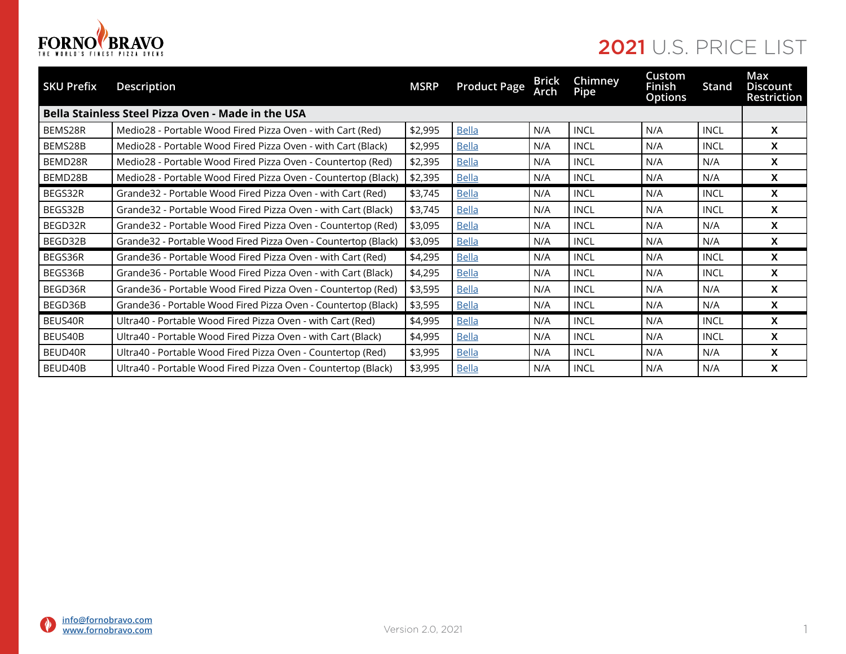

| <b>SKU Prefix</b> | <b>Description</b>                                             | <b>MSRP</b> | <b>Product Page</b> | <b>Brick</b><br>Arch | Chimney<br>Pipe | Custom<br><b>Finish</b><br><b>Options</b> | Stand       | Max<br><b>Discount</b><br><b>Restriction</b> |
|-------------------|----------------------------------------------------------------|-------------|---------------------|----------------------|-----------------|-------------------------------------------|-------------|----------------------------------------------|
|                   | <b>Bella Stainless Steel Pizza Oven - Made in the USA</b>      |             |                     |                      |                 |                                           |             |                                              |
| BEMS28R           | Medio28 - Portable Wood Fired Pizza Oven - with Cart (Red)     | \$2,995     | <b>Bella</b>        | N/A                  | <b>INCL</b>     | N/A                                       | <b>INCL</b> | X                                            |
| BEMS28B           | Medio28 - Portable Wood Fired Pizza Oven - with Cart (Black)   | \$2,995     | <b>Bella</b>        | N/A                  | <b>INCL</b>     | N/A                                       | <b>INCL</b> | X                                            |
| BEMD28R           | Medio28 - Portable Wood Fired Pizza Oven - Countertop (Red)    | \$2,395     | <b>Bella</b>        | N/A                  | <b>INCL</b>     | N/A                                       | N/A         | X                                            |
| BEMD28B           | Medio28 - Portable Wood Fired Pizza Oven - Countertop (Black)  | \$2,395     | <b>Bella</b>        | N/A                  | <b>INCL</b>     | N/A                                       | N/A         | X                                            |
| BEGS32R           | Grande32 - Portable Wood Fired Pizza Oven - with Cart (Red)    | \$3,745     | <b>Bella</b>        | N/A                  | <b>INCL</b>     | N/A                                       | INCL        | X                                            |
| BEGS32B           | Grande32 - Portable Wood Fired Pizza Oven - with Cart (Black)  | \$3,745     | <b>Bella</b>        | N/A                  | <b>INCL</b>     | N/A                                       | <b>INCL</b> | $\boldsymbol{\mathsf{x}}$                    |
| BEGD32R           | Grande32 - Portable Wood Fired Pizza Oven - Countertop (Red)   | \$3,095     | <b>Bella</b>        | N/A                  | <b>INCL</b>     | N/A                                       | N/A         | X                                            |
| BEGD32B           | Grande32 - Portable Wood Fired Pizza Oven - Countertop (Black) | \$3,095     | <b>Bella</b>        | N/A                  | <b>INCL</b>     | N/A                                       | N/A         | X                                            |
| BEGS36R           | Grande36 - Portable Wood Fired Pizza Oven - with Cart (Red)    | \$4,295     | <b>Bella</b>        | N/A                  | <b>INCL</b>     | N/A                                       | <b>INCL</b> | X                                            |
| BEGS36B           | Grande 36 - Portable Wood Fired Pizza Oven - with Cart (Black) | \$4,295     | <b>Bella</b>        | N/A                  | <b>INCL</b>     | N/A                                       | <b>INCL</b> | X                                            |
| BEGD36R           | Grande36 - Portable Wood Fired Pizza Oven - Countertop (Red)   | \$3,595     | <b>Bella</b>        | N/A                  | <b>INCL</b>     | N/A                                       | N/A         | X                                            |
| BEGD36B           | Grande36 - Portable Wood Fired Pizza Oven - Countertop (Black) | \$3,595     | <b>Bella</b>        | N/A                  | <b>INCL</b>     | N/A                                       | N/A         | X                                            |
| BEUS40R           | Ultra40 - Portable Wood Fired Pizza Oven - with Cart (Red)     | \$4,995     | <b>Bella</b>        | N/A                  | <b>INCL</b>     | N/A                                       | <b>INCL</b> | X                                            |
| BEUS40B           | Ultra40 - Portable Wood Fired Pizza Oven - with Cart (Black)   | \$4,995     | <b>Bella</b>        | N/A                  | <b>INCL</b>     | N/A                                       | <b>INCL</b> | X                                            |
| BEUD40R           | Ultra40 - Portable Wood Fired Pizza Oven - Countertop (Red)    | \$3,995     | <b>Bella</b>        | N/A                  | <b>INCL</b>     | N/A                                       | N/A         | X                                            |
| BEUD40B           | Ultra40 - Portable Wood Fired Pizza Oven - Countertop (Black)  | \$3,995     | <b>Bella</b>        | N/A                  | <b>INCL</b>     | N/A                                       | N/A         | X                                            |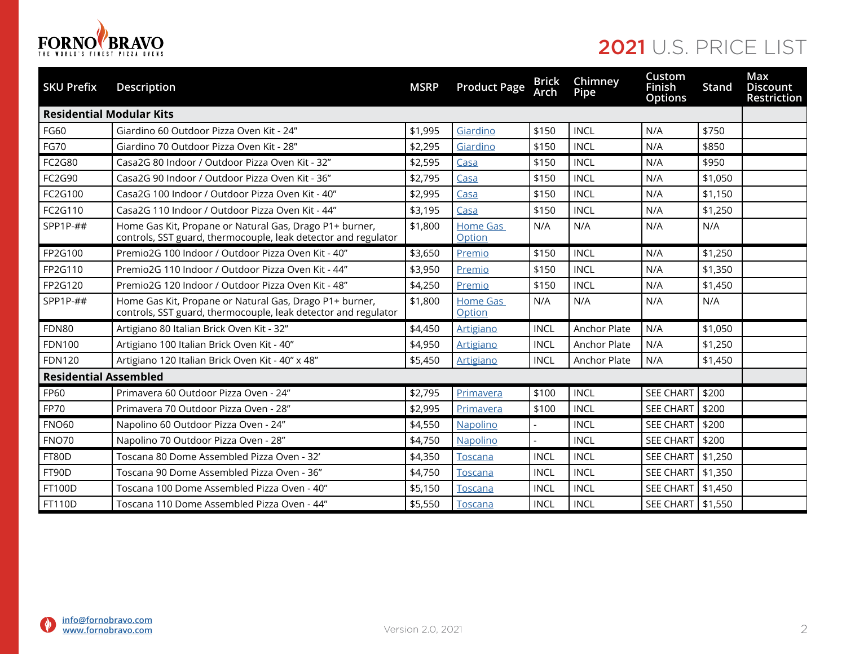

| <b>SKU Prefix</b>               | Description                                                                                                               | <b>MSRP</b> | <b>Product Page</b>       | <b>Brick</b><br>Arch | Chimney<br>Pipe | Custom<br><b>Finish</b><br><b>Options</b> | Stand   | Max<br><b>Discount</b><br>Restriction |
|---------------------------------|---------------------------------------------------------------------------------------------------------------------------|-------------|---------------------------|----------------------|-----------------|-------------------------------------------|---------|---------------------------------------|
| <b>Residential Modular Kits</b> |                                                                                                                           |             |                           |                      |                 |                                           |         |                                       |
| FG60                            | Giardino 60 Outdoor Pizza Oven Kit - 24"                                                                                  | \$1,995     | Giardino                  | \$150                | <b>INCL</b>     | N/A                                       | \$750   |                                       |
| <b>FG70</b>                     | Giardino 70 Outdoor Pizza Oven Kit - 28"                                                                                  | \$2,295     | Giardino                  | \$150                | <b>INCL</b>     | N/A                                       | \$850   |                                       |
| FC2G80                          | Casa2G 80 Indoor / Outdoor Pizza Oven Kit - 32"                                                                           | \$2,595     | Casa                      | \$150                | <b>INCL</b>     | N/A                                       | \$950   |                                       |
| FC2G90                          | Casa2G 90 Indoor / Outdoor Pizza Oven Kit - 36"                                                                           | \$2,795     | Casa                      | \$150                | <b>INCL</b>     | N/A                                       | \$1,050 |                                       |
| FC2G100                         | Casa2G 100 Indoor / Outdoor Pizza Oven Kit - 40"                                                                          | \$2,995     | Casa                      | \$150                | <b>INCL</b>     | N/A                                       | \$1,150 |                                       |
| FC2G110                         | Casa2G 110 Indoor / Outdoor Pizza Oven Kit - 44"                                                                          | \$3,195     | Casa                      | \$150                | <b>INCL</b>     | N/A                                       | \$1,250 |                                       |
| SPP1P-##                        | Home Gas Kit, Propane or Natural Gas, Drago P1+ burner,<br>controls, SST guard, thermocouple, leak detector and regulator | \$1,800     | <b>Home Gas</b><br>Option | N/A                  | N/A             | N/A                                       | N/A     |                                       |
| FP2G100                         | Premio2G 100 Indoor / Outdoor Pizza Oven Kit - 40"                                                                        | \$3,650     | Premio                    | \$150                | <b>INCL</b>     | N/A                                       | \$1,250 |                                       |
| FP2G110                         | Premio2G 110 Indoor / Outdoor Pizza Oven Kit - 44"                                                                        | \$3,950     | Premio                    | \$150                | <b>INCL</b>     | N/A                                       | \$1,350 |                                       |
| FP2G120                         | Premio2G 120 Indoor / Outdoor Pizza Oven Kit - 48"                                                                        | \$4,250     | Premio                    | \$150                | <b>INCL</b>     | N/A                                       | \$1,450 |                                       |
| $SPP1P-##$                      | Home Gas Kit, Propane or Natural Gas, Drago P1+ burner,<br>controls, SST guard, thermocouple, leak detector and regulator | \$1,800     | <b>Home Gas</b><br>Option | N/A                  | N/A             | N/A                                       | N/A     |                                       |
| <b>FDN80</b>                    | Artigiano 80 Italian Brick Oven Kit - 32"                                                                                 | \$4,450     | <b>Artigiano</b>          | <b>INCL</b>          | Anchor Plate    | N/A                                       | \$1,050 |                                       |
| <b>FDN100</b>                   | Artigiano 100 Italian Brick Oven Kit - 40"                                                                                | \$4,950     | <b>Artigiano</b>          | <b>INCL</b>          | Anchor Plate    | N/A                                       | \$1,250 |                                       |
| <b>FDN120</b>                   | Artigiano 120 Italian Brick Oven Kit - 40" x 48"                                                                          | \$5,450     | <b>Artigiano</b>          | <b>INCL</b>          | Anchor Plate    | N/A                                       | \$1,450 |                                       |
| <b>Residential Assembled</b>    |                                                                                                                           |             |                           |                      |                 |                                           |         |                                       |
| FP60                            | Primavera 60 Outdoor Pizza Oven - 24"                                                                                     | \$2,795     | Primavera                 | \$100                | <b>INCL</b>     | <b>SEE CHART</b>                          | \$200   |                                       |
| FP70                            | Primavera 70 Outdoor Pizza Oven - 28"                                                                                     | \$2,995     | Primavera                 | \$100                | <b>INCL</b>     | SEE CHART                                 | \$200   |                                       |
| <b>FNO60</b>                    | Napolino 60 Outdoor Pizza Oven - 24"                                                                                      | \$4,550     | Napolino                  |                      | <b>INCL</b>     | <b>SEE CHART</b>                          | \$200   |                                       |
| <b>FNO70</b>                    | Napolino 70 Outdoor Pizza Oven - 28"                                                                                      | \$4,750     | <b>Napolino</b>           |                      | <b>INCL</b>     | SEE CHART                                 | \$200   |                                       |
| FT80D                           | Toscana 80 Dome Assembled Pizza Oven - 32'                                                                                | \$4,350     | <b>Toscana</b>            | <b>INCL</b>          | <b>INCL</b>     | <b>SEE CHART</b>                          | \$1,250 |                                       |
| FT90D                           | Toscana 90 Dome Assembled Pizza Oven - 36"                                                                                | \$4,750     | Toscana                   | <b>INCL</b>          | <b>INCL</b>     | <b>SEE CHART</b>                          | \$1,350 |                                       |
| <b>FT100D</b>                   | Toscana 100 Dome Assembled Pizza Oven - 40"                                                                               | \$5,150     | <b>Toscana</b>            | <b>INCL</b>          | <b>INCL</b>     | <b>SEE CHART</b>                          | \$1,450 |                                       |
| <b>FT110D</b>                   | Toscana 110 Dome Assembled Pizza Oven - 44"                                                                               | \$5,550     | <b>Toscana</b>            | <b>INCL</b>          | <b>INCL</b>     | SEE CHART   \$1,550                       |         |                                       |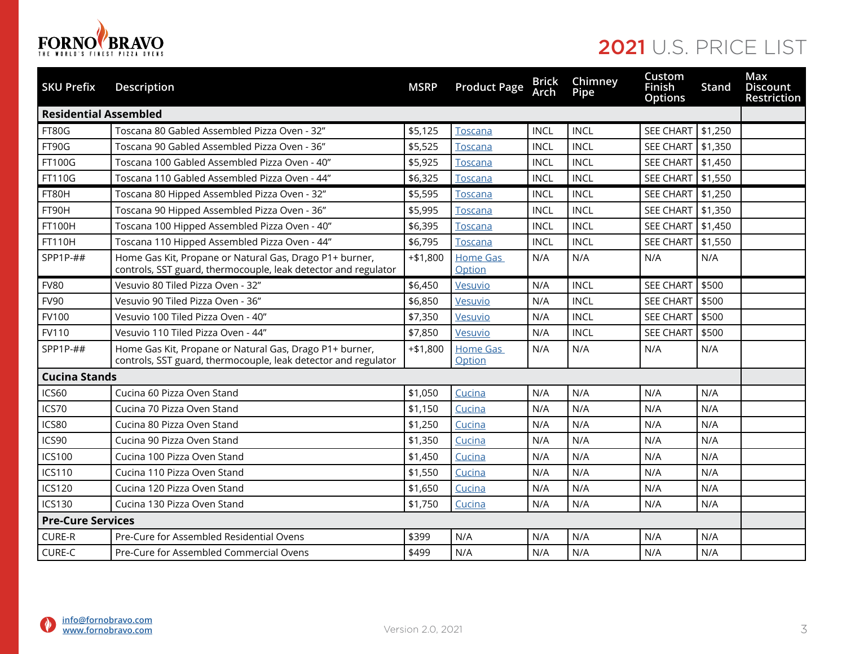

| <b>SKU Prefix</b>        | Description                                                                                                               | <b>MSRP</b> | <b>Product Page</b>       | Arch        | <b>Brick Chimney</b><br>Pipe | Custom<br>Finish<br><b>Options</b> | Stand                 | Max<br><b>Discount</b><br><b>Restriction</b> |
|--------------------------|---------------------------------------------------------------------------------------------------------------------------|-------------|---------------------------|-------------|------------------------------|------------------------------------|-----------------------|----------------------------------------------|
|                          | <b>Residential Assembled</b>                                                                                              |             |                           |             |                              |                                    |                       |                                              |
| <b>FT80G</b>             | Toscana 80 Gabled Assembled Pizza Oven - 32"                                                                              | \$5,125     | Toscana                   | <b>INCL</b> | <b>INCL</b>                  | SEE CHART                          | \$1,250               |                                              |
| FT90G                    | Toscana 90 Gabled Assembled Pizza Oven - 36"                                                                              | \$5,525     | Toscana                   | <b>INCL</b> | <b>INCL</b>                  | <b>SEE CHART</b>                   | \$1,350               |                                              |
| FT100G                   | Toscana 100 Gabled Assembled Pizza Oven - 40"                                                                             | \$5,925     | <u>Toscana</u>            | <b>INCL</b> | <b>INCL</b>                  | SEE CHART                          | \$1,450               |                                              |
| <b>FT110G</b>            | Toscana 110 Gabled Assembled Pizza Oven - 44"                                                                             | \$6,325     | <b>Toscana</b>            | <b>INCL</b> | <b>INCL</b>                  | SEE CHART                          | \$1,550               |                                              |
| FT80H                    | Toscana 80 Hipped Assembled Pizza Oven - 32"                                                                              | \$5,595     | Toscana                   | <b>INCL</b> | <b>INCL</b>                  | SEE CHART                          | \$1,250               |                                              |
| FT90H                    | Toscana 90 Hipped Assembled Pizza Oven - 36"                                                                              | \$5,995     | <b>Toscana</b>            | <b>INCL</b> | <b>INCL</b>                  | <b>SEE CHART</b>                   | $\frac{1}{2}$ \$1,350 |                                              |
| FT100H                   | Toscana 100 Hipped Assembled Pizza Oven - 40"                                                                             | \$6,395     | <b>Toscana</b>            | <b>INCL</b> | <b>INCL</b>                  | SEE CHART                          | $\frac{1}{2}$ \$1,450 |                                              |
| FT110H                   | Toscana 110 Hipped Assembled Pizza Oven - 44"                                                                             | \$6,795     | Toscana                   | <b>INCL</b> | <b>INCL</b>                  | SEE CHART                          | \$1,550               |                                              |
| SPP1P-##                 | Home Gas Kit, Propane or Natural Gas, Drago P1+ burner,<br>controls, SST guard, thermocouple, leak detector and regulator | $+ $1,800$  | <b>Home Gas</b><br>Option | N/A         | N/A                          | N/A                                | N/A                   |                                              |
| <b>FV80</b>              | Vesuvio 80 Tiled Pizza Oven - 32"                                                                                         | \$6,450     | Vesuvio                   | N/A         | <b>INCL</b>                  | <b>SEE CHART</b>                   | \$500                 |                                              |
| <b>FV90</b>              | Vesuvio 90 Tiled Pizza Oven - 36"                                                                                         | \$6,850     | Vesuvio                   | N/A         | <b>INCL</b>                  | <b>SEE CHART</b>                   | \$500                 |                                              |
| FV100                    | Vesuvio 100 Tiled Pizza Oven - 40"                                                                                        | \$7,350     | Vesuvio                   | N/A         | <b>INCL</b>                  | <b>SEE CHART</b>                   | \$500                 |                                              |
| FV110                    | Vesuvio 110 Tiled Pizza Oven - 44"                                                                                        | \$7,850     | Vesuvio                   | N/A         | <b>INCL</b>                  | <b>SEE CHART</b>                   | \$500                 |                                              |
| SPP1P-##                 | Home Gas Kit, Propane or Natural Gas, Drago P1+ burner,<br>controls, SST guard, thermocouple, leak detector and regulator | $+ $1,800$  | <b>Home Gas</b><br>Option | N/A         | N/A                          | N/A                                | N/A                   |                                              |
| <b>Cucina Stands</b>     |                                                                                                                           |             |                           |             |                              |                                    |                       |                                              |
| ICS60                    | Cucina 60 Pizza Oven Stand                                                                                                | \$1,050     | Cucina                    | N/A         | N/A                          | N/A                                | N/A                   |                                              |
| ICS70                    | Cucina 70 Pizza Oven Stand                                                                                                | \$1,150     | Cucina                    | N/A         | N/A                          | N/A                                | N/A                   |                                              |
| ICS80                    | Cucina 80 Pizza Oven Stand                                                                                                | \$1,250     | Cucina                    | N/A         | N/A                          | N/A                                | N/A                   |                                              |
| ICS90                    | Cucina 90 Pizza Oven Stand                                                                                                | \$1,350     | Cucina                    | N/A         | N/A                          | N/A                                | N/A                   |                                              |
| <b>ICS100</b>            | Cucina 100 Pizza Oven Stand                                                                                               | \$1,450     | Cucina                    | N/A         | N/A                          | N/A                                | N/A                   |                                              |
| <b>ICS110</b>            | Cucina 110 Pizza Oven Stand                                                                                               | \$1,550     | Cucina                    | N/A         | N/A                          | N/A                                | N/A                   |                                              |
| <b>ICS120</b>            | Cucina 120 Pizza Oven Stand                                                                                               | \$1,650     | Cucina                    | N/A         | N/A                          | N/A                                | N/A                   |                                              |
| <b>ICS130</b>            | Cucina 130 Pizza Oven Stand                                                                                               | \$1,750     | Cucina                    | N/A         | N/A                          | N/A                                | N/A                   |                                              |
| <b>Pre-Cure Services</b> |                                                                                                                           |             |                           |             |                              |                                    |                       |                                              |
| <b>CURE-R</b>            | Pre-Cure for Assembled Residential Ovens                                                                                  | \$399       | N/A                       | N/A         | N/A                          | N/A                                | N/A                   |                                              |
| CURE-C                   | Pre-Cure for Assembled Commercial Ovens                                                                                   | \$499       | N/A                       | N/A         | N/A                          | N/A                                | N/A                   |                                              |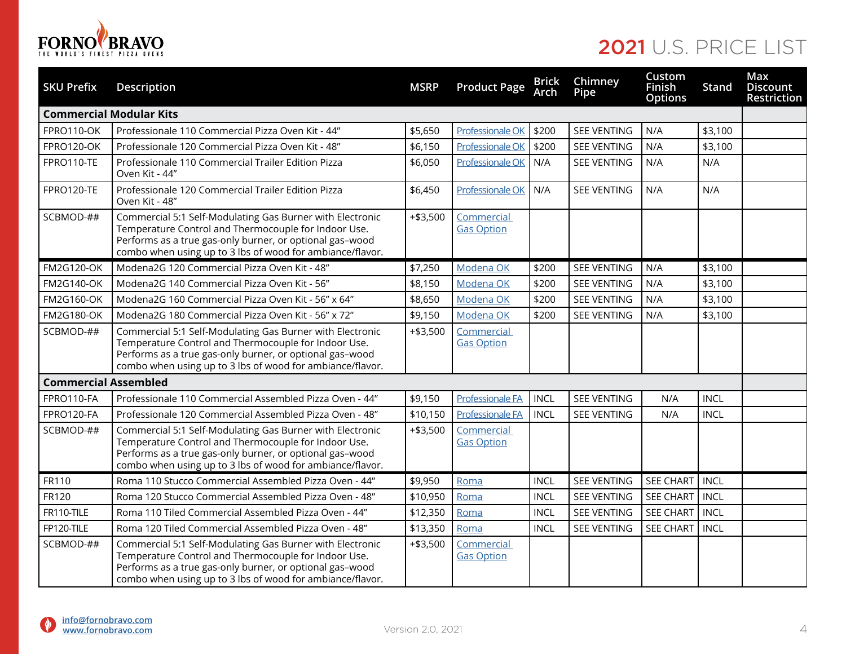

| <b>SKU Prefix</b>           | Description                                                                                                                                                                                                                                | <b>MSRP</b> | <b>Product Page</b>             | <b>Brick</b><br><b>Arch</b> | Chimney<br>Pipe    | Custom<br><b>Finish</b><br><b>Options</b> | Stand       | Max<br><b>Discount</b><br>Restriction |
|-----------------------------|--------------------------------------------------------------------------------------------------------------------------------------------------------------------------------------------------------------------------------------------|-------------|---------------------------------|-----------------------------|--------------------|-------------------------------------------|-------------|---------------------------------------|
|                             | <b>Commercial Modular Kits</b>                                                                                                                                                                                                             |             |                                 |                             |                    |                                           |             |                                       |
| FPRO110-OK                  | Professionale 110 Commercial Pizza Oven Kit - 44"                                                                                                                                                                                          | \$5,650     | <b>Professionale OK</b>         | \$200                       | <b>SEE VENTING</b> | N/A                                       | \$3,100     |                                       |
| FPRO120-OK                  | Professionale 120 Commercial Pizza Oven Kit - 48"                                                                                                                                                                                          | \$6,150     | Professionale OK                | \$200                       | <b>SEE VENTING</b> | N/A                                       | \$3,100     |                                       |
| FPRO110-TE                  | Professionale 110 Commercial Trailer Edition Pizza<br>Oven Kit - 44"                                                                                                                                                                       | \$6,050     | <b>Professionale OK</b>         | N/A                         | <b>SEE VENTING</b> | N/A                                       | N/A         |                                       |
| FPRO120-TE                  | Professionale 120 Commercial Trailer Edition Pizza<br>Oven Kit - 48"                                                                                                                                                                       | \$6,450     | Professionale OK                | N/A                         | <b>SEE VENTING</b> | N/A                                       | N/A         |                                       |
| SCBMOD-##                   | Commercial 5:1 Self-Modulating Gas Burner with Electronic<br>Temperature Control and Thermocouple for Indoor Use.<br>Performs as a true gas-only burner, or optional gas-wood<br>combo when using up to 3 lbs of wood for ambiance/flavor. | $+ $3,500$  | Commercial<br><b>Gas Option</b> |                             |                    |                                           |             |                                       |
| <b>FM2G120-OK</b>           | Modena2G 120 Commercial Pizza Oven Kit - 48"                                                                                                                                                                                               | \$7,250     | Modena OK                       | \$200                       | <b>SEE VENTING</b> | N/A                                       | \$3,100     |                                       |
| <b>FM2G140-OK</b>           | Modena2G 140 Commercial Pizza Oven Kit - 56"                                                                                                                                                                                               | \$8,150     | Modena OK                       | \$200                       | <b>SEE VENTING</b> | N/A                                       | \$3,100     |                                       |
| FM2G160-OK                  | Modena2G 160 Commercial Pizza Oven Kit - 56" x 64"                                                                                                                                                                                         | \$8,650     | Modena OK                       | \$200                       | <b>SEE VENTING</b> | N/A                                       | \$3,100     |                                       |
| <b>FM2G180-OK</b>           | Modena2G 180 Commercial Pizza Oven Kit - 56" x 72"                                                                                                                                                                                         | \$9,150     | Modena OK                       | \$200                       | <b>SEE VENTING</b> | N/A                                       | \$3,100     |                                       |
| SCBMOD-##                   | Commercial 5:1 Self-Modulating Gas Burner with Electronic<br>Temperature Control and Thermocouple for Indoor Use.<br>Performs as a true gas-only burner, or optional gas-wood<br>combo when using up to 3 lbs of wood for ambiance/flavor. | $+ $3,500$  | Commercial<br><b>Gas Option</b> |                             |                    |                                           |             |                                       |
| <b>Commercial Assembled</b> |                                                                                                                                                                                                                                            |             |                                 |                             |                    |                                           |             |                                       |
| FPRO110-FA                  | Professionale 110 Commercial Assembled Pizza Oven - 44"                                                                                                                                                                                    | \$9,150     | <b>Professionale FA</b>         | <b>INCL</b>                 | <b>SEE VENTING</b> | N/A                                       | <b>INCL</b> |                                       |
| FPRO120-FA                  | Professionale 120 Commercial Assembled Pizza Oven - 48"                                                                                                                                                                                    | \$10,150    | <b>Professionale FA</b>         | <b>INCL</b>                 | <b>SEE VENTING</b> | N/A                                       | <b>INCL</b> |                                       |
| SCBMOD-##                   | Commercial 5:1 Self-Modulating Gas Burner with Electronic<br>Temperature Control and Thermocouple for Indoor Use.<br>Performs as a true gas-only burner, or optional gas-wood<br>combo when using up to 3 lbs of wood for ambiance/flavor. | $+ $3,500$  | Commercial<br><b>Gas Option</b> |                             |                    |                                           |             |                                       |
| FR110                       | Roma 110 Stucco Commercial Assembled Pizza Oven - 44"                                                                                                                                                                                      | \$9,950     | Roma                            | <b>INCL</b>                 | <b>SEE VENTING</b> | <b>SEE CHART</b>                          | <b>INCL</b> |                                       |
| FR120                       | Roma 120 Stucco Commercial Assembled Pizza Oven - 48"                                                                                                                                                                                      | \$10,950    | Roma                            | <b>INCL</b>                 | <b>SEE VENTING</b> | <b>SEE CHART</b>                          | <b>INCL</b> |                                       |
| FR110-TILE                  | Roma 110 Tiled Commercial Assembled Pizza Oven - 44"                                                                                                                                                                                       | \$12,350    | Roma                            | <b>INCL</b>                 | <b>SEE VENTING</b> | <b>SEE CHART</b>                          | <b>INCL</b> |                                       |
| FP120-TILE                  | Roma 120 Tiled Commercial Assembled Pizza Oven - 48"                                                                                                                                                                                       | \$13,350    | Roma                            | <b>INCL</b>                 | <b>SEE VENTING</b> | <b>SEE CHART</b>                          | <b>INCL</b> |                                       |
| SCBMOD-##                   | Commercial 5:1 Self-Modulating Gas Burner with Electronic<br>Temperature Control and Thermocouple for Indoor Use.<br>Performs as a true gas-only burner, or optional gas-wood<br>combo when using up to 3 lbs of wood for ambiance/flavor. | $+ $3,500$  | Commercial<br><b>Gas Option</b> |                             |                    |                                           |             |                                       |

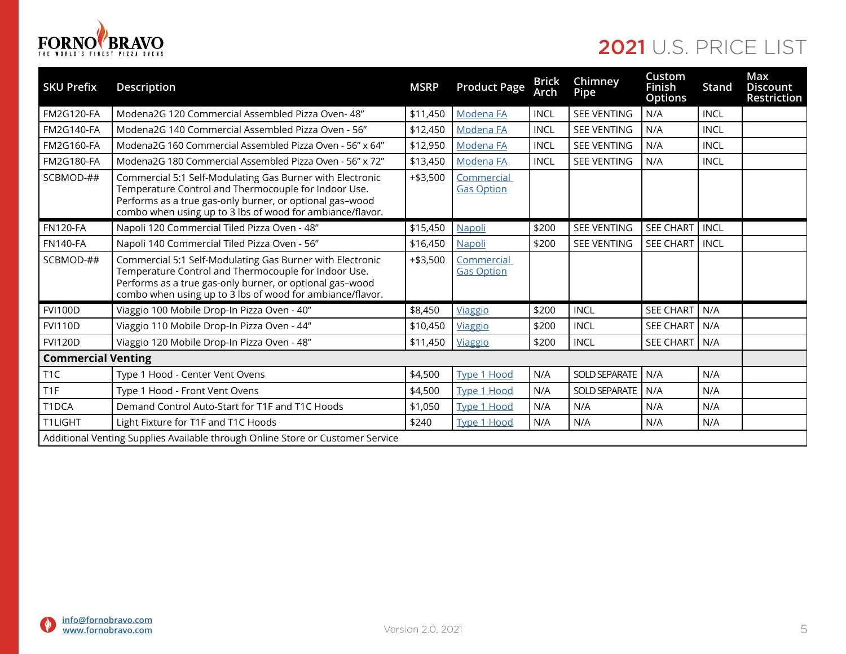

| <b>SKU Prefix</b>                                                              | <b>Description</b>                                                                                                                                                                                                                         | <b>MSRP</b> | <b>Product Page</b>             | <b>Brick</b><br>Arch | Chimney<br>Pipe      | Custom<br>Finish<br><b>Options</b> | Stand       | Max<br><b>Discount</b><br>Restriction |
|--------------------------------------------------------------------------------|--------------------------------------------------------------------------------------------------------------------------------------------------------------------------------------------------------------------------------------------|-------------|---------------------------------|----------------------|----------------------|------------------------------------|-------------|---------------------------------------|
| <b>FM2G120-FA</b>                                                              | Modena2G 120 Commercial Assembled Pizza Oven- 48"                                                                                                                                                                                          | \$11,450    | Modena FA                       | <b>INCL</b>          | <b>SEE VENTING</b>   | N/A                                | <b>INCL</b> |                                       |
| <b>FM2G140-FA</b>                                                              | Modena2G 140 Commercial Assembled Pizza Oven - 56"                                                                                                                                                                                         | \$12,450    | Modena FA                       | <b>INCL</b>          | <b>SEE VENTING</b>   | N/A                                | <b>INCL</b> |                                       |
| <b>FM2G160-FA</b>                                                              | Modena2G 160 Commercial Assembled Pizza Oven - 56" x 64"                                                                                                                                                                                   | \$12,950    | Modena FA                       | <b>INCL</b>          | <b>SEE VENTING</b>   | N/A                                | <b>INCL</b> |                                       |
| <b>FM2G180-FA</b>                                                              | Modena2G 180 Commercial Assembled Pizza Oven - 56" x 72"                                                                                                                                                                                   | \$13,450    | <b>Modena FA</b>                | <b>INCL</b>          | <b>SEE VENTING</b>   | N/A                                | <b>INCL</b> |                                       |
| SCBMOD-##                                                                      | Commercial 5:1 Self-Modulating Gas Burner with Electronic<br>Temperature Control and Thermocouple for Indoor Use.<br>Performs as a true gas-only burner, or optional gas-wood<br>combo when using up to 3 lbs of wood for ambiance/flavor. | $+ $3,500$  | Commercial<br><b>Gas Option</b> |                      |                      |                                    |             |                                       |
| <b>FN120-FA</b>                                                                | Napoli 120 Commercial Tiled Pizza Oven - 48"                                                                                                                                                                                               | \$15,450    | Napoli                          | \$200                | <b>SEE VENTING</b>   | <b>SEE CHART</b>                   | <b>INCL</b> |                                       |
| <b>FN140-FA</b>                                                                | Napoli 140 Commercial Tiled Pizza Oven - 56"                                                                                                                                                                                               | \$16,450    | Napoli                          | \$200                | <b>SEE VENTING</b>   | <b>SEE CHART</b>                   | <b>INCL</b> |                                       |
| SCBMOD-##                                                                      | Commercial 5:1 Self-Modulating Gas Burner with Electronic<br>Temperature Control and Thermocouple for Indoor Use.<br>Performs as a true gas-only burner, or optional gas-wood<br>combo when using up to 3 lbs of wood for ambiance/flavor. | $+ $3,500$  | Commercial<br><b>Gas Option</b> |                      |                      |                                    |             |                                       |
| <b>FVI100D</b>                                                                 | Viaggio 100 Mobile Drop-In Pizza Oven - 40"                                                                                                                                                                                                | \$8,450     | Viaggio                         | \$200                | <b>INCL</b>          | <b>SEE CHART</b>                   | N/A         |                                       |
| <b>FVI110D</b>                                                                 | Viaggio 110 Mobile Drop-In Pizza Oven - 44"                                                                                                                                                                                                | \$10,450    | Viaggio                         | \$200                | <b>INCL</b>          | <b>SEE CHART</b>                   | N/A         |                                       |
| <b>FVI120D</b>                                                                 | Viaggio 120 Mobile Drop-In Pizza Oven - 48"                                                                                                                                                                                                | \$11,450    | <b>Viaggio</b>                  | \$200                | <b>INCL</b>          | <b>SEE CHART</b>                   | N/A         |                                       |
| <b>Commercial Venting</b>                                                      |                                                                                                                                                                                                                                            |             |                                 |                      |                      |                                    |             |                                       |
| T <sub>1</sub> C                                                               | Type 1 Hood - Center Vent Ovens                                                                                                                                                                                                            | \$4,500     | <b>Type 1 Hood</b>              | N/A                  | <b>SOLD SEPARATE</b> | N/A                                | N/A         |                                       |
| T <sub>1F</sub>                                                                | Type 1 Hood - Front Vent Ovens                                                                                                                                                                                                             | \$4,500     | <b>Type 1 Hood</b>              | N/A                  | <b>SOLD SEPARATE</b> | N/A                                | N/A         |                                       |
| T1DCA                                                                          | Demand Control Auto-Start for T1F and T1C Hoods                                                                                                                                                                                            | \$1,050     | <b>Type 1 Hood</b>              | N/A                  | N/A                  | N/A                                | N/A         |                                       |
| T1LIGHT                                                                        | Light Fixture for T1F and T1C Hoods                                                                                                                                                                                                        | \$240       | <b>Type 1 Hood</b>              | N/A                  | N/A                  | N/A                                | N/A         |                                       |
| Additional Venting Supplies Available through Online Store or Customer Service |                                                                                                                                                                                                                                            |             |                                 |                      |                      |                                    |             |                                       |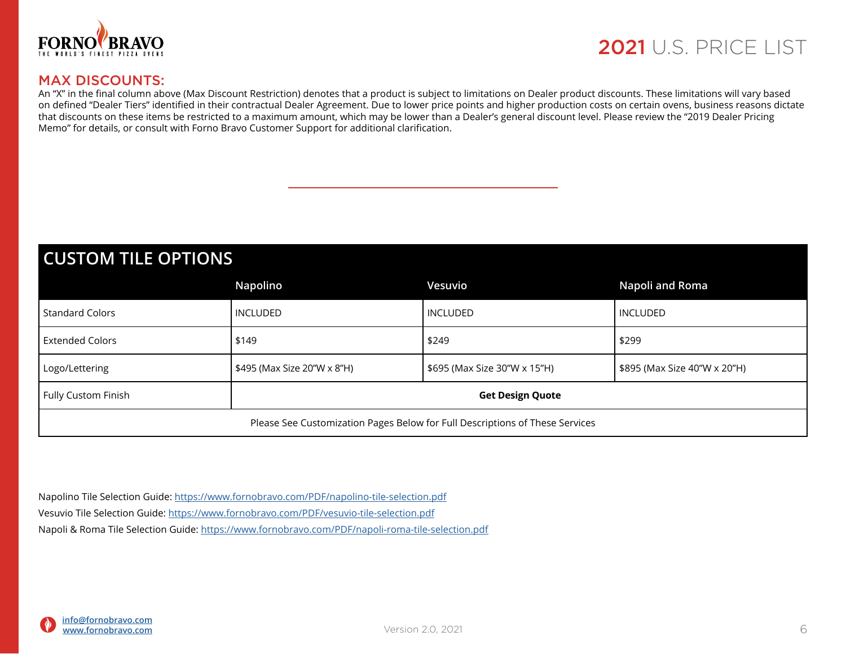

### MAX DISCOUNTS:

An "X" in the final column above (Max Discount Restriction) denotes that a product is subject to limitations on Dealer product discounts. These limitations will vary based on defined "Dealer Tiers" identified in their contractual Dealer Agreement. Due to lower price points and higher production costs on certain ovens, business reasons dictate that discounts on these items be restricted to a maximum amount, which may be lower than a Dealer's general discount level. Please review the "2019 Dealer Pricing Memo" for details, or consult with Forno Bravo Customer Support for additional clarification.

### **CUSTOM TILE OPTIONS**

|                                                                              | Napolino                    | Vesuvio                      | Napoli and Roma              |  |  |  |  |  |
|------------------------------------------------------------------------------|-----------------------------|------------------------------|------------------------------|--|--|--|--|--|
| <b>Standard Colors</b>                                                       | INCLUDED                    | INCLUDED                     | <b>INCLUDED</b>              |  |  |  |  |  |
| Extended Colors                                                              | \$249<br>\$149              |                              | \$299                        |  |  |  |  |  |
| Logo/Lettering                                                               | \$495 (Max Size 20"W x 8"H) | \$695 (Max Size 30"W x 15"H) | \$895 (Max Size 40"W x 20"H) |  |  |  |  |  |
| Fully Custom Finish<br><b>Get Design Quote</b>                               |                             |                              |                              |  |  |  |  |  |
| Please See Customization Pages Below for Full Descriptions of These Services |                             |                              |                              |  |  |  |  |  |

Napolino Tile Selection Guide: <https://www.fornobravo.com/PDF/napolino-tile-selection.pdf> Vesuvio Tile Selection Guide: <https://www.fornobravo.com/PDF/vesuvio-tile-selection.pdf> Napoli & Roma Tile Selection Guide:<https://www.fornobravo.com/PDF/napoli-roma-tile-selection.pdf>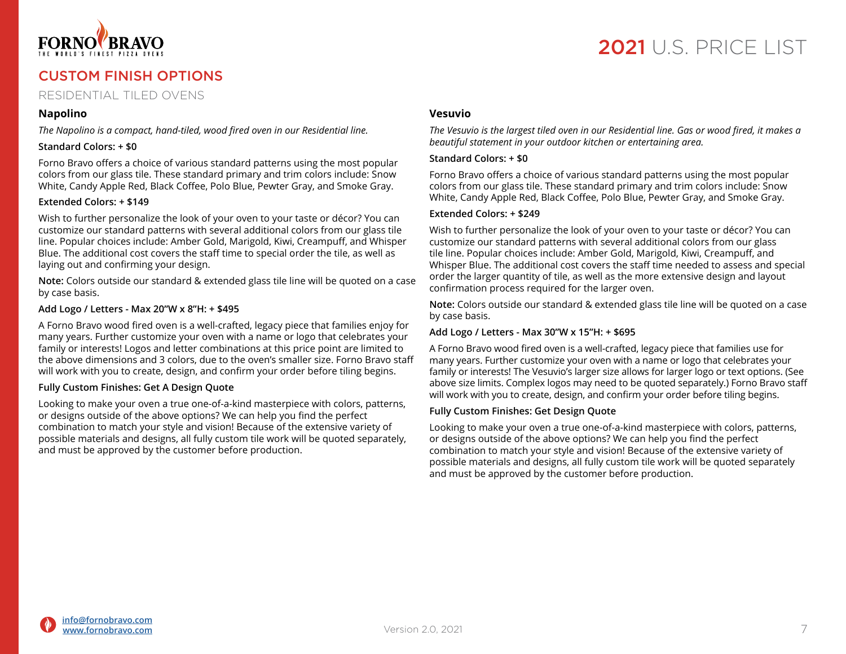

### CUSTOM FINISH OPTIONS

### RESIDENTIAL TILED OVENS

#### **Napolino**

*The Napolino is a compact, hand-tiled, wood fired oven in our Residential line.* 

#### **Standard Colors: + \$0**

Forno Bravo offers a choice of various standard patterns using the most popular colors from our glass tile. These standard primary and trim colors include: Snow White, Candy Apple Red, Black Coffee, Polo Blue, Pewter Gray, and Smoke Gray.

#### **Extended Colors: + \$149**

Wish to further personalize the look of your oven to your taste or décor? You can customize our standard patterns with several additional colors from our glass tile line. Popular choices include: Amber Gold, Marigold, Kiwi, Creampuff, and Whisper Blue. The additional cost covers the staff time to special order the tile, as well as laying out and confirming your design.

**Note:** Colors outside our standard & extended glass tile line will be quoted on a case by case basis.

#### **Add Logo / Letters - Max 20"W x 8"H: + \$495**

A Forno Bravo wood fired oven is a well-crafted, legacy piece that families enjoy for many years. Further customize your oven with a name or logo that celebrates your family or interests! Logos and letter combinations at this price point are limited to the above dimensions and 3 colors, due to the oven's smaller size. Forno Bravo staff will work with you to create, design, and confirm your order before tiling begins.

#### **Fully Custom Finishes: Get A Design Quote**

Looking to make your oven a true one-of-a-kind masterpiece with colors, patterns, or designs outside of the above options? We can help you find the perfect combination to match your style and vision! Because of the extensive variety of possible materials and designs, all fully custom tile work will be quoted separately, and must be approved by the customer before production.

#### **Vesuvio**

*The Vesuvio is the largest tiled oven in our Residential line. Gas or wood fired, it makes a beautiful statement in your outdoor kitchen or entertaining area.*

#### **Standard Colors: + \$0**

Forno Bravo offers a choice of various standard patterns using the most popular colors from our glass tile. These standard primary and trim colors include: Snow White, Candy Apple Red, Black Coffee, Polo Blue, Pewter Gray, and Smoke Gray.

#### **Extended Colors: + \$249**

Wish to further personalize the look of your oven to your taste or décor? You can customize our standard patterns with several additional colors from our glass tile line. Popular choices include: Amber Gold, Marigold, Kiwi, Creampuff, and Whisper Blue. The additional cost covers the staff time needed to assess and special order the larger quantity of tile, as well as the more extensive design and layout confirmation process required for the larger oven.

**Note:** Colors outside our standard & extended glass tile line will be quoted on a case by case basis.

#### **Add Logo / Letters - Max 30"W x 15"H: + \$695**

A Forno Bravo wood fired oven is a well-crafted, legacy piece that families use for many years. Further customize your oven with a name or logo that celebrates your family or interests! The Vesuvio's larger size allows for larger logo or text options. (See above size limits. Complex logos may need to be quoted separately.) Forno Bravo staff will work with you to create, design, and confirm your order before tiling begins.

#### **Fully Custom Finishes: Get Design Quote**

Looking to make your oven a true one-of-a-kind masterpiece with colors, patterns, or designs outside of the above options? We can help you find the perfect combination to match your style and vision! Because of the extensive variety of possible materials and designs, all fully custom tile work will be quoted separately and must be approved by the customer before production.